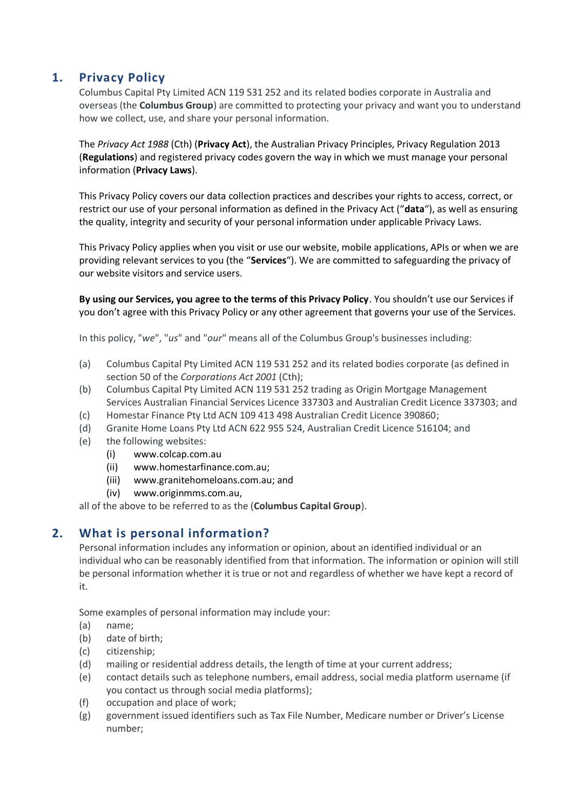# **1. Privacy Policy**

Columbus Capital Pty Limited ACN 119 531 252 and its related bodies corporate in Australia and overseas (the **Columbus Group**) are committed to protecting your privacy and want you to understand how we collect, use, and share your personal information.

The *Privacy Act 1988* (Cth) (**Privacy Act**), the Australian Privacy Principles, Privacy Regulation 2013 (**Regulations**) and registered privacy codes govern the way in which we must manage your personal information (**Privacy Laws**).

This Privacy Policy covers our data collection practices and describes your rights to access, correct, or restrict our use of your personal information as defined in the Privacy Act ("**data**"), as well as ensuring the quality, integrity and security of your personal information under applicable Privacy Laws.

This Privacy Policy applies when you visit or use our website, mobile applications, APIs or when we are providing relevant services to you (the "**Services**"). We are committed to safeguarding the privacy of our website visitors and service users.

**By using our Services, you agree to the terms of this Privacy Policy**. You shouldn't use our Services if you don't agree with this Privacy Policy or any other agreement that governs your use of the Services.

In this policy, "*we*", "*us*" and "*our*" means all of the Columbus Group's businesses including:

- (a) Columbus Capital Pty Limited ACN 119 531 252 and its related bodies corporate (as defined in section 50 of the *Corporations Act 2001* (Cth);
- (b) Columbus Capital Pty Limited ACN 119 531 252 trading as Origin Mortgage Management Services Australian Financial Services Licence 337303 and Australian Credit Licence 337303; and
- (c) Homestar Finance Pty Ltd ACN 109 413 498 Australian Credit Licence 390860;
- (d) Granite Home Loans Pty Ltd ACN 622 955 524, Australian Credit Licence 516104; and
- (e) the following websites:
	- (i) [www.colcap.com.au](http://www.colcap.com.au/)
	- (ii) [www.homestarfinance.com.au;](http://www.homestarfinance.com.au/)
	- (iii) [www.granitehomeloans.com.au;](http://www.granitehomeloans.com.au/) and
	- (iv) [www.originmms.com.au,](http://www.originmms.com.au/)

all of the above to be referred to as the (**Columbus Capital Group**).

#### **2. What is personal information?**

Personal information includes any information or opinion, about an identified individual or an individual who can be reasonably identified from that information. The information or opinion will still be personal information whether it is true or not and regardless of whether we have kept a record of it.

Some examples of personal information may include your:

- (a) name;
- (b) date of birth;
- (c) citizenship;
- (d) mailing or residential address details, the length of time at your current address;
- (e) contact details such as telephone numbers, email address, social media platform username (if you contact us through social media platforms);
- (f) occupation and place of work;
- (g) government issued identifiers such as Tax File Number, Medicare number or Driver's License number;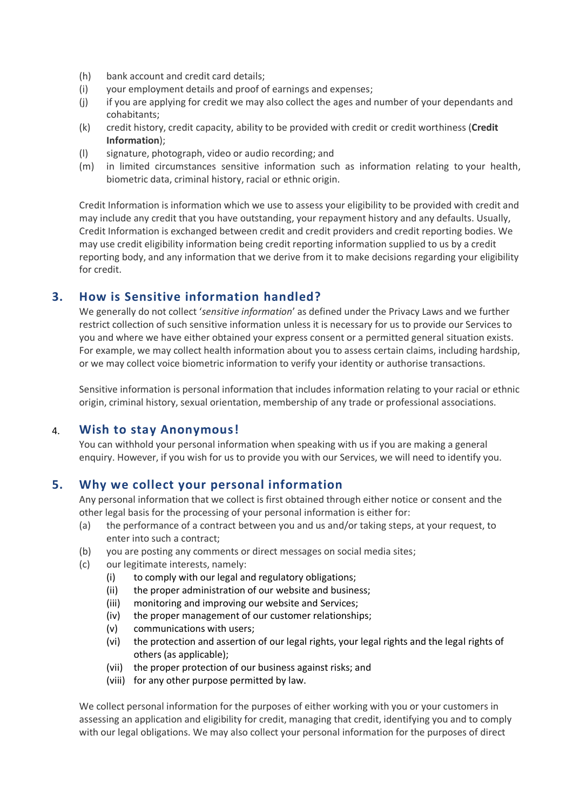- (h) bank account and credit card details;
- (i) your employment details and proof of earnings and expenses;
- (j) if you are applying for credit we may also collect the ages and number of your dependants and cohabitants;
- (k) credit history, credit capacity, ability to be provided with credit or credit worthiness (**Credit Information**);
- (l) signature, photograph, video or audio recording; and
- (m) in limited circumstances sensitive information such as information relating to your health, biometric data, criminal history, racial or ethnic origin.

Credit Information is information which we use to assess your eligibility to be provided with credit and may include any credit that you have outstanding, your repayment history and any defaults. Usually, Credit Information is exchanged between credit and credit providers and credit reporting bodies. We may use credit eligibility information being credit reporting information supplied to us by a credit reporting body, and any information that we derive from it to make decisions regarding your eligibility for credit.

# **3. How is Sensitive information handled?**

We generally do not collect '*sensitive information*' as defined under the Privacy Laws and we further restrict collection of such sensitive information unless it is necessary for us to provide our Services to you and where we have either obtained your express consent or a permitted general situation exists. For example, we may collect health information about you to assess certain claims, including hardship, or we may collect voice biometric information to verify your identity or authorise transactions.

Sensitive information is personal information that includes information relating to your racial or ethnic origin, criminal history, sexual orientation, membership of any trade or professional associations.

## 4. **Wish to stay Anonymous!**

You can withhold your personal information when speaking with us if you are making a general enquiry. However, if you wish for us to provide you with our Services, we will need to identify you.

## **5. Why we collect your personal information**

Any personal information that we collect is first obtained through either notice or consent and the other legal basis for the processing of your personal information is either for:

- (a) the performance of a contract between you and us and/or taking steps, at your request, to enter into such a contract;
- (b) you are posting any comments or direct messages on social media sites;
- (c) our legitimate interests, namely:
	- (i) to comply with our legal and regulatory obligations;
	- (ii) the proper administration of our website and business;
	- (iii) monitoring and improving our website and Services;
	- (iv) the proper management of our customer relationships;
	- (v) communications with users;
	- (vi) the protection and assertion of our legal rights, your legal rights and the legal rights of others (as applicable);
	- (vii) the proper protection of our business against risks; and
	- (viii) for any other purpose permitted by law.

We collect personal information for the purposes of either working with you or your customers in assessing an application and eligibility for credit, managing that credit, identifying you and to comply with our legal obligations. We may also collect your personal information for the purposes of direct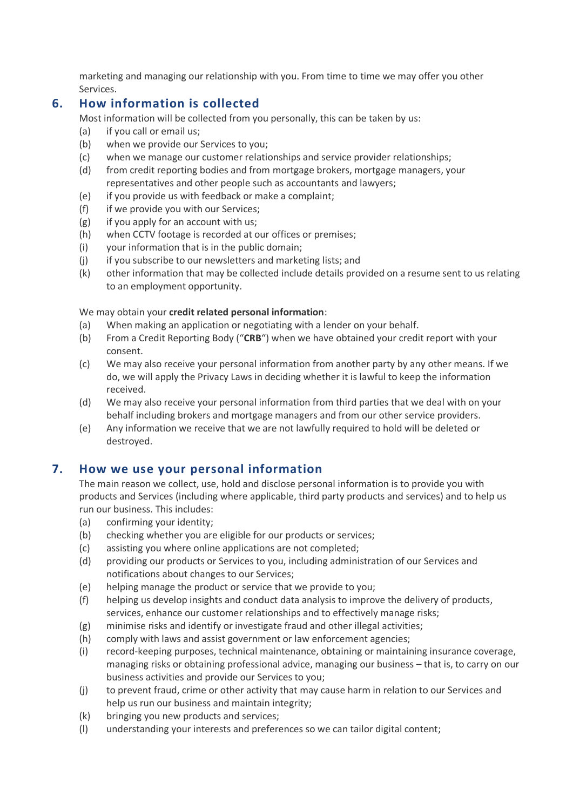marketing and managing our relationship with you. From time to time we may offer you other Services.

## **6. How information is collected**

Most information will be collected from you personally, this can be taken by us:

- (a) if you call or email us;
- (b) when we provide our Services to you;
- (c) when we manage our customer relationships and service provider relationships;
- (d) from credit reporting bodies and from mortgage brokers, mortgage managers, your representatives and other people such as accountants and lawyers;
- (e) if you provide us with feedback or make a complaint;
- (f) if we provide you with our Services;
- (g) if you apply for an account with us;
- (h) when CCTV footage is recorded at our offices or premises;
- (i) your information that is in the public domain;
- (i) if you subscribe to our newsletters and marketing lists; and
- (k) other information that may be collected include details provided on a resume sent to us relating to an employment opportunity.

#### We may obtain your **credit related personal information**:

- (a) When making an application or negotiating with a lender on your behalf.
- (b) From a Credit Reporting Body ("**CRB**") when we have obtained your credit report with your consent.
- (c) We may also receive your personal information from another party by any other means. If we do, we will apply the Privacy Laws in deciding whether it is lawful to keep the information received.
- (d) We may also receive your personal information from third parties that we deal with on your behalf including brokers and mortgage managers and from our other service providers.
- (e) Any information we receive that we are not lawfully required to hold will be deleted or destroyed.

## **7. How we use your personal information**

The main reason we collect, use, hold and disclose personal information is to provide you with products and Services (including where applicable, third party products and services) and to help us run our business. This includes:

- (a) confirming your identity;
- (b) checking whether you are eligible for our products or services;
- (c) assisting you where online applications are not completed;
- (d) providing our products or Services to you, including administration of our Services and notifications about changes to our Services;
- (e) helping manage the product or service that we provide to you;
- (f) helping us develop insights and conduct data analysis to improve the delivery of products, services, enhance our customer relationships and to effectively manage risks;
- (g) minimise risks and identify or investigate fraud and other illegal activities;
- (h) comply with laws and assist government or law enforcement agencies;
- (i) record-keeping purposes, technical maintenance, obtaining or maintaining insurance coverage, managing risks or obtaining professional advice, managing our business – that is, to carry on our business activities and provide our Services to you;
- (j) to prevent fraud, crime or other activity that may cause harm in relation to our Services and help us run our business and maintain integrity;
- (k) bringing you new products and services;
- (l) understanding your interests and preferences so we can tailor digital content;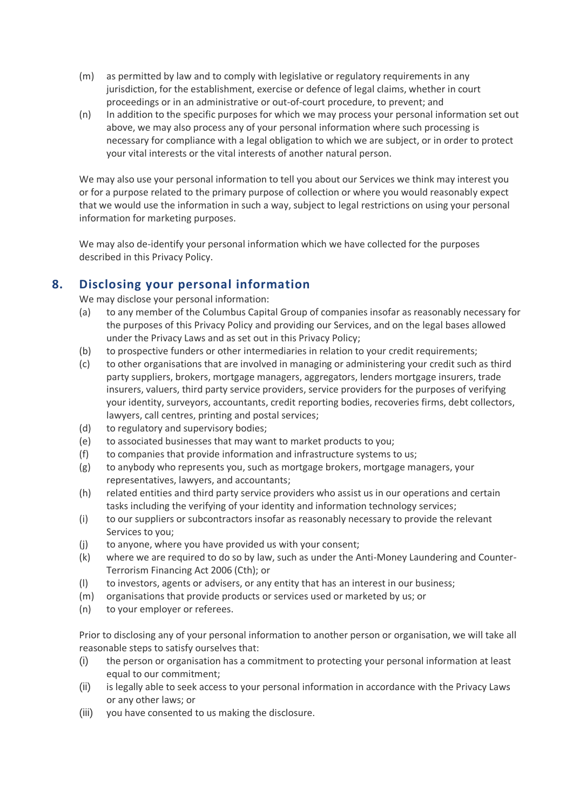- (m) as permitted by law and to comply with legislative or regulatory requirements in any jurisdiction, for the establishment, exercise or defence of legal claims, whether in court proceedings or in an administrative or out-of-court procedure, to prevent; and
- (n) In addition to the specific purposes for which we may process your personal information set out above, we may also process any of your personal information where such processing is necessary for compliance with a legal obligation to which we are subject, or in order to protect your vital interests or the vital interests of another natural person.

We may also use your personal information to tell you about our Services we think may interest you or for a purpose related to the primary purpose of collection or where you would reasonably expect that we would use the information in such a way, subject to legal restrictions on using your personal information for marketing purposes.

We may also de-identify your personal information which we have collected for the purposes described in this Privacy Policy.

# **8. Disclosing your personal information**

We may disclose your personal information:

- (a) to any member of the Columbus Capital Group of companies insofar as reasonably necessary for the purposes of this Privacy Policy and providing our Services, and on the legal bases allowed under the Privacy Laws and as set out in this Privacy Policy;
- (b) to prospective funders or other intermediaries in relation to your credit requirements;
- (c) to other organisations that are involved in managing or administering your credit such as third party suppliers, brokers, mortgage managers, aggregators, lenders mortgage insurers, trade insurers, valuers, third party service providers, service providers for the purposes of verifying your identity, surveyors, accountants, credit reporting bodies, recoveries firms, debt collectors, lawyers, call centres, printing and postal services;
- (d) to regulatory and supervisory bodies;
- (e) to associated businesses that may want to market products to you;
- (f) to companies that provide information and infrastructure systems to us;
- (g) to anybody who represents you, such as mortgage brokers, mortgage managers, your representatives, lawyers, and accountants;
- (h) related entities and third party service providers who assist us in our operations and certain tasks including the verifying of your identity and information technology services;
- (i) to our suppliers or subcontractors insofar as reasonably necessary to provide the relevant Services to you;
- (j) to anyone, where you have provided us with your consent;
- (k) where we are required to do so by law, such as under the Anti-Money Laundering and Counter-Terrorism Financing Act 2006 (Cth); or
- (l) to investors, agents or advisers, or any entity that has an interest in our business;
- (m) organisations that provide products or services used or marketed by us; or
- (n) to your employer or referees.

Prior to disclosing any of your personal information to another person or organisation, we will take all reasonable steps to satisfy ourselves that:

- (i) the person or organisation has a commitment to protecting your personal information at least equal to our commitment;
- (ii) is legally able to seek access to your personal information in accordance with the Privacy Laws or any other laws; or
- (iii) you have consented to us making the disclosure.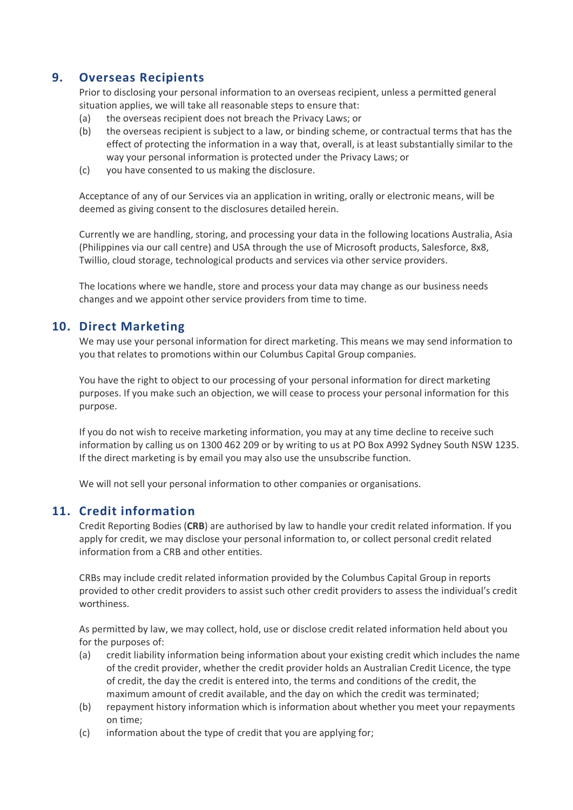## **9. Overseas Recipients**

Prior to disclosing your personal information to an overseas recipient, unless a permitted general situation applies, we will take all reasonable steps to ensure that:

- (a) the overseas recipient does not breach the Privacy Laws; or
- (b) the overseas recipient is subject to a law, or binding scheme, or contractual terms that has the effect of protecting the information in a way that, overall, is at least substantially similar to the way your personal information is protected under the Privacy Laws; or
- (c) you have consented to us making the disclosure.

Acceptance of any of our Services via an application in writing, orally or electronic means, will be deemed as giving consent to the disclosures detailed herein.

Currently we are handling, storing, and processing your data in the following locations Australia, Asia (Philippines via our call centre) and USA through the use of Microsoft products, Salesforce, 8x8, Twillio, cloud storage, technological products and services via other service providers.

The locations where we handle, store and process your data may change as our business needs changes and we appoint other service providers from time to time.

## **10. Direct Marketing**

We may use your personal information for direct marketing. This means we may send information to you that relates to promotions within our Columbus Capital Group companies.

You have the right to object to our processing of your personal information for direct marketing purposes. If you make such an objection, we will cease to process your personal information for this purpose.

If you do not wish to receive marketing information, you may at any time decline to receive such information by calling us on 1300 462 209 or by writing to us at PO Box A992 Sydney South NSW 1235. If the direct marketing is by email you may also use the unsubscribe function.

We will not sell your personal information to other companies or organisations.

#### **11. Credit information**

Credit Reporting Bodies (**CRB**) are authorised by law to handle your credit related information. If you apply for credit, we may disclose your personal information to, or collect personal credit related information from a CRB and other entities.

CRBs may include credit related information provided by the Columbus Capital Group in reports provided to other credit providers to assist such other credit providers to assess the individual's credit worthiness.

As permitted by law, we may collect, hold, use or disclose credit related information held about you for the purposes of:

- (a) credit liability information being information about your existing credit which includes the name of the credit provider, whether the credit provider holds an Australian Credit Licence, the type of credit, the day the credit is entered into, the terms and conditions of the credit, the maximum amount of credit available, and the day on which the credit was terminated;
- (b) repayment history information which is information about whether you meet your repayments on time;
- (c) information about the type of credit that you are applying for;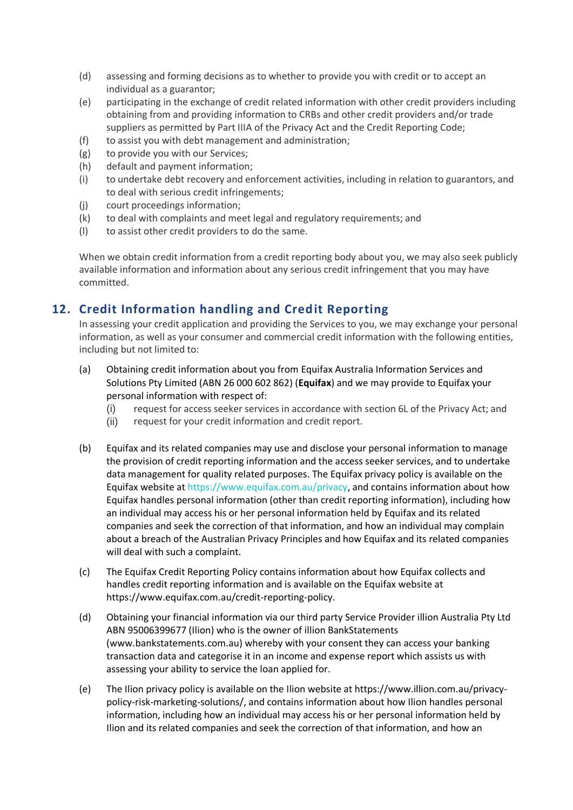- (d) assessing and forming decisions as to whether to provide you with credit or to accept an individual as a guarantor;
- (e) participating in the exchange of credit related information with other credit providers including obtaining from and providing information to CRBs and other credit providers and/or trade suppliers as permitted by Part IIIA of the Privacy Act and the Credit Reporting Code;
- (f) to assist you with debt management and administration;
- (g) to provide you with our Services;
- (h) default and payment information;
- (i) to undertake debt recovery and enforcement activities, including in relation to guarantors, and to deal with serious credit infringements;
- (j) court proceedings information;
- (k) to deal with complaints and meet legal and regulatory requirements; and
- (l) to assist other credit providers to do the same.

When we obtain credit information from a credit reporting body about you, we may also seek publicly available information and information about any serious credit infringement that you may have committed.

# **12. Credit Information handling and Credit Reporting**

In assessing your credit application and providing the Services to you, we may exchange your personal information, as well as your consumer and commercial credit information with the following entities, including but not limited to:

- (a) Obtaining credit information about you from Equifax Australia Information Services and Solutions Pty Limited (ABN 26 000 602 862) (**Equifax**) and we may provide to Equifax your personal information with respect of:
	- (i) request for access seeker services in accordance with section 6L of the Privacy Act; and
	- (ii) request for your credit information and credit report.
- (b) Equifax and its related companies may use and disclose your personal information to manage the provision of credit reporting information and the access seeker services, and to undertake data management for quality related purposes. The Equifax privacy policy is available on the Equifax website at [https://www.equifax.com.au/privacy,](https://www.equifax.com.au/privacy) and contains information about how Equifax handles personal information (other than credit reporting information), including how an individual may access his or her personal information held by Equifax and its related companies and seek the correction of that information, and how an individual may complain about a breach of the Australian Privacy Principles and how Equifax and its related companies will deal with such a complaint.
- (c) The Equifax Credit Reporting Policy contains information about how Equifax collects and handles credit reporting information and is available on the Equifax website at [https://www.equifax.com.au/credit-reporting-policy.](https://www.equifax.com.au/credit-reporting-policy)
- (d) Obtaining your financial information via our third party Service Provider illion Australia Pty Ltd ABN 95006399677 (Ilion) who is the owner of illion BankStatements [\(www.bankstatements.com.au\)](http://www.bankstatements.com.au/) whereby with your consent they can access your banking transaction data and categorise it in an income and expense report which assists us with assessing your ability to service the loan applied for.
- (e) The Ilion privacy policy is available on the Ilion website a[t https://www.illion.com.au/privacy](https://www.illion.com.au/privacy-policy-risk-marketing-solutions/)[policy-risk-marketing-solutions/,](https://www.illion.com.au/privacy-policy-risk-marketing-solutions/) and contains information about how Ilion handles personal information, including how an individual may access his or her personal information held by Ilion and its related companies and seek the correction of that information, and how an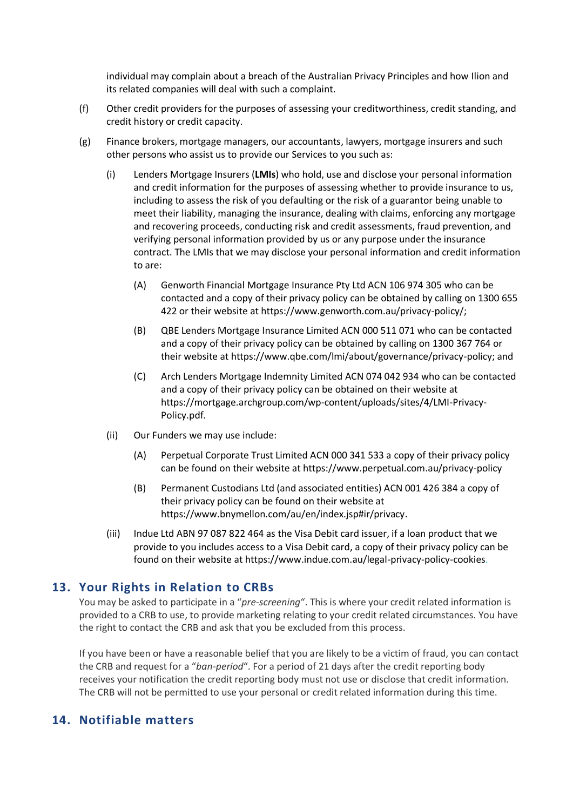individual may complain about a breach of the Australian Privacy Principles and how Ilion and its related companies will deal with such a complaint.

- (f) Other credit providers for the purposes of assessing your creditworthiness, credit standing, and credit history or credit capacity.
- (g) Finance brokers, mortgage managers, our accountants, lawyers, mortgage insurers and such other persons who assist us to provide our Services to you such as:
	- (i) Lenders Mortgage Insurers (**LMIs**) who hold, use and disclose your personal information and credit information for the purposes of assessing whether to provide insurance to us, including to assess the risk of you defaulting or the risk of a guarantor being unable to meet their liability, managing the insurance, dealing with claims, enforcing any mortgage and recovering proceeds, conducting risk and credit assessments, fraud prevention, and verifying personal information provided by us or any purpose under the insurance contract. The LMIs that we may disclose your personal information and credit information to are:
		- (A) Genworth Financial Mortgage Insurance Pty Ltd ACN 106 974 305 who can be contacted and a copy of their privacy policy can be obtained by calling on 1300 655 422 or their website a[t https://www.genworth.com.au/privacy-policy/;](https://www.genworth.com.au/privacy-policy/)
		- (B) QBE Lenders Mortgage Insurance Limited ACN 000 511 071 who can be contacted and a copy of their privacy policy can be obtained by calling on 1300 367 764 or their website at [https://www.qbe.com/lmi/about/governance/privacy-policy;](https://www.qbe.com/lmi/about/governance/privacy-policy) and
		- (C) Arch Lenders Mortgage Indemnity Limited ACN 074 042 934 who can be contacted and a copy of their privacy policy can be obtained on their website at [https://mortgage.archgroup.com/wp-content/uploads/sites/4/LMI-Privacy-](https://aus01.safelinks.protection.outlook.com/?url=https%3A%2F%2Fmortgage.archgroup.com%2Fwp-content%2Fuploads%2Fsites%2F4%2FLMI-Privacy-Policy.pdf&data=05%7C01%7CMarjana.Cvetanoska%40colcap.com.au%7Cac26b4288d024243059f08da42b0620f%7C285ef20059bb41f88e50baada7d96ff8%7C0%7C0%7C637895622568624620%7CUnknown%7CTWFpbGZsb3d8eyJWIjoiMC4wLjAwMDAiLCJQIjoiV2luMzIiLCJBTiI6Ik1haWwiLCJXVCI6Mn0%3D%7C3000%7C%7C%7C&sdata=f5eBd66e7yxYWc%2BNmH8nXDg3qFlCXfrINfYGECzUlLc%3D&reserved=0)[Policy.pdf.](https://aus01.safelinks.protection.outlook.com/?url=https%3A%2F%2Fmortgage.archgroup.com%2Fwp-content%2Fuploads%2Fsites%2F4%2FLMI-Privacy-Policy.pdf&data=05%7C01%7CMarjana.Cvetanoska%40colcap.com.au%7Cac26b4288d024243059f08da42b0620f%7C285ef20059bb41f88e50baada7d96ff8%7C0%7C0%7C637895622568624620%7CUnknown%7CTWFpbGZsb3d8eyJWIjoiMC4wLjAwMDAiLCJQIjoiV2luMzIiLCJBTiI6Ik1haWwiLCJXVCI6Mn0%3D%7C3000%7C%7C%7C&sdata=f5eBd66e7yxYWc%2BNmH8nXDg3qFlCXfrINfYGECzUlLc%3D&reserved=0)
	- (ii) Our Funders we may use include:
		- (A) Perpetual Corporate Trust Limited ACN 000 341 533 a copy of their privacy policy can be found on their website at<https://www.perpetual.com.au/privacy-policy>
		- (B) Permanent Custodians Ltd (and associated entities) ACN 001 426 384 a copy of their privacy policy can be found on their website at [https://www.bnymellon.com/au/en/index.jsp#ir/privacy.](https://www.bnymellon.com/au/en/index.jsp#ir/privacy)
	- (iii) Indue Ltd ABN 97 087 822 464 as the Visa Debit card issuer, if a loan product that we provide to you includes access to a Visa Debit card, a copy of their privacy policy can be found on their website at https://www.indue.com.au/legal-privacy-policy-cookies.

## **13. Your Rights in Relation to CRBs**

You may be asked to participate in a "*pre-screening*". This is where your credit related information is provided to a CRB to use, to provide marketing relating to your credit related circumstances. You have the right to contact the CRB and ask that you be excluded from this process.

If you have been or have a reasonable belief that you are likely to be a victim of fraud, you can contact the CRB and request for a "*ban-period*". For a period of 21 days after the credit reporting body receives your notification the credit reporting body must not use or disclose that credit information. The CRB will not be permitted to use your personal or credit related information during this time.

## **14. Notifiable matters**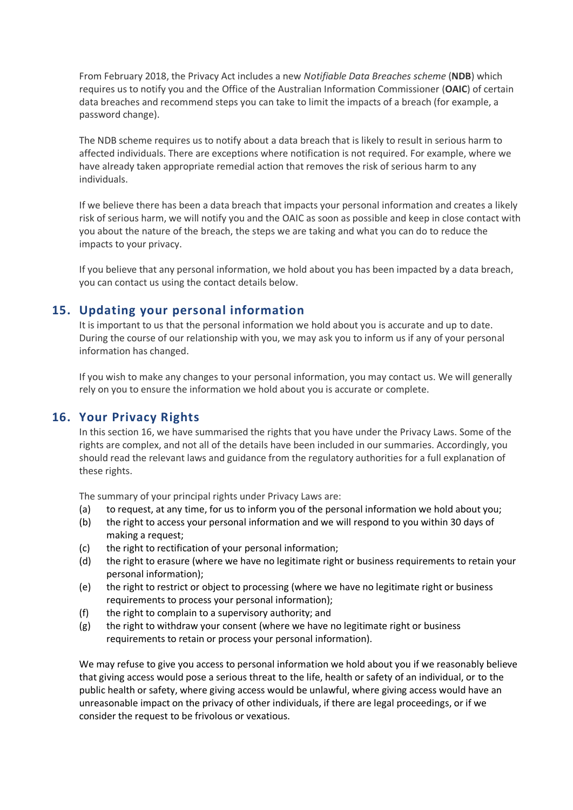From February 2018, the Privacy Act includes a new *Notifiable Data Breaches scheme* (**NDB**) which requires us to notify you and the Office of the Australian Information Commissioner (**OAIC**) of certain data breaches and recommend steps you can take to limit the impacts of a breach (for example, a password change).

The NDB scheme requires us to notify about a data breach that is likely to result in serious harm to affected individuals. There are exceptions where notification is not required. For example, where we have already taken appropriate remedial action that removes the risk of serious harm to any individuals.

If we believe there has been a data breach that impacts your personal information and creates a likely risk of serious harm, we will notify you and the OAIC as soon as possible and keep in close contact with you about the nature of the breach, the steps we are taking and what you can do to reduce the impacts to your privacy.

If you believe that any personal information, we hold about you has been impacted by a data breach, you can contact us using the contact details below.

### **15. Updating your personal information**

It is important to us that the personal information we hold about you is accurate and up to date. During the course of our relationship with you, we may ask you to inform us if any of your personal information has changed.

If you wish to make any changes to your personal information, you may contact us. We will generally rely on you to ensure the information we hold about you is accurate or complete.

#### **16. Your Privacy Rights**

In this section 16, we have summarised the rights that you have under the Privacy Laws. Some of the rights are complex, and not all of the details have been included in our summaries. Accordingly, you should read the relevant laws and guidance from the regulatory authorities for a full explanation of these rights.

The summary of your principal rights under Privacy Laws are:

- (a) to request, at any time, for us to inform you of the personal information we hold about you;
- (b) the right to access your personal information and we will respond to you within 30 days of making a request;
- (c) the right to rectification of your personal information;
- (d) the right to erasure (where we have no legitimate right or business requirements to retain your personal information);
- (e) the right to restrict or object to processing (where we have no legitimate right or business requirements to process your personal information);
- (f) the right to complain to a supervisory authority; and
- (g) the right to withdraw your consent (where we have no legitimate right or business requirements to retain or process your personal information).

We may refuse to give you access to personal information we hold about you if we reasonably believe that giving access would pose a serious threat to the life, health or safety of an individual, or to the public health or safety, where giving access would be unlawful, where giving access would have an unreasonable impact on the privacy of other individuals, if there are legal proceedings, or if we consider the request to be frivolous or vexatious.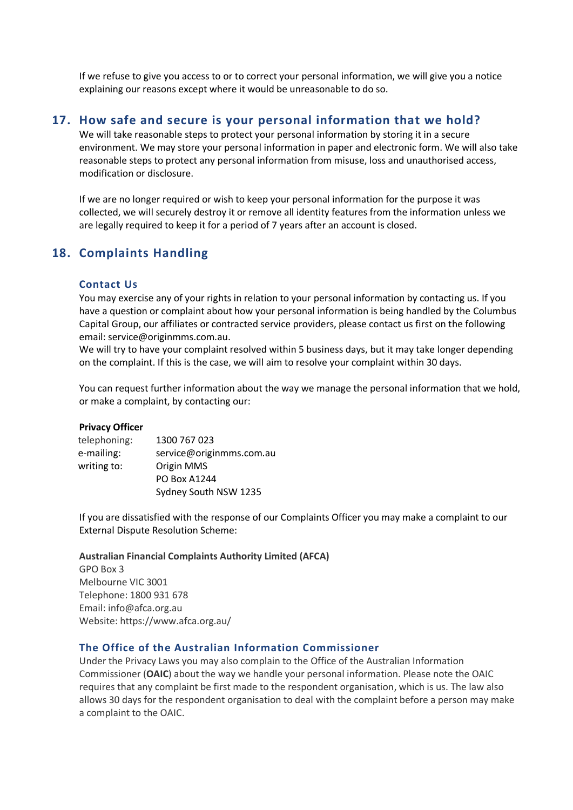If we refuse to give you access to or to correct your personal information, we will give you a notice explaining our reasons except where it would be unreasonable to do so.

#### **17. How safe and secure is your personal information that we hold?**

We will take reasonable steps to protect your personal information by storing it in a secure environment. We may store your personal information in paper and electronic form. We will also take reasonable steps to protect any personal information from misuse, loss and unauthorised access, modification or disclosure.

If we are no longer required or wish to keep your personal information for the purpose it was collected, we will securely destroy it or remove all identity features from the information unless we are legally required to keep it for a period of 7 years after an account is closed.

## **18. Complaints Handling**

#### **Contact Us**

You may exercise any of your rights in relation to your personal information by contacting us. If you have a question or complaint about how your personal information is being handled by the Columbus Capital Group, our affiliates or contracted service providers, please contact us first on the following email: [service@originmms.com.au.](mailto:service@originmms.com.au)

We will try to have your complaint resolved within 5 business days, but it may take longer depending on the complaint. If this is the case, we will aim to resolve your complaint within 30 days.

You can request further information about the way we manage the personal information that we hold, or make a complaint, by contacting our:

#### **Privacy Officer**

| telephoning: | 1300 767 023             |
|--------------|--------------------------|
| e-mailing:   | service@originmms.com.au |
| writing to:  | Origin MMS               |
|              | PO Box A1244             |
|              | Sydney South NSW 1235    |
|              |                          |

If you are dissatisfied with the response of our Complaints Officer you may make a complaint to our External Dispute Resolution Scheme:

#### **Australian Financial Complaints Authority Limited (AFCA)**

GPO Box 3 Melbourne VIC 3001 Telephone: 1800 931 678 Email: info@afca.org.au Website: https://www.afca.org.au/

#### **The Office of the Australian Information Commissioner**

Under the Privacy Laws you may also complain to the Office of the Australian Information Commissioner (**OAIC**) about the way we handle your personal information. Please note the OAIC requires that any complaint be first made to the respondent organisation, which is us. The law also allows 30 days for the respondent organisation to deal with the complaint before a person may make a complaint to the OAIC.